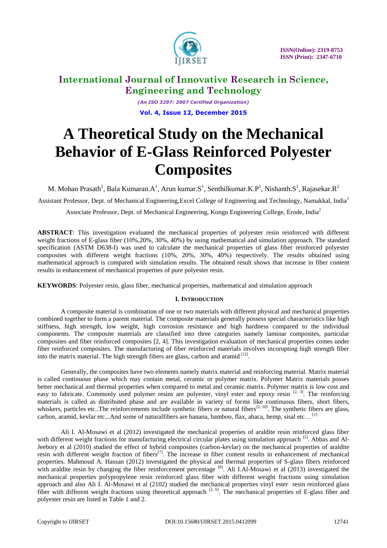

*(An ISO 3297: 2007 Certified Organization)* **Vol. 4, Issue 12, December 2015**

# **A Theoretical Study on the Mechanical Behavior of E-Glass Reinforced Polyester Composites**

M. Mohan Prasath<sup>1</sup>, Bala Kumaran.A<sup>1</sup>, Arun kumar.S<sup>1</sup>, Senthilkumar.K.P<sup>1</sup>, Nishanth.S<sup>1</sup>, Rajasekar.R<sup>2</sup>

Assistant Professor, Dept. of Mechanical Engineering,Excel College of Engineering and Technology, Namakkal, India<sup>1</sup>

Associate Professor, Dept. of Mechanical Engineering, Kongu Engineering College, Erode, India<sup>2</sup>

**ABSTRACT**: This investigation evaluated the mechanical properties of polyester resin reinforced with different weight fractions of E-glass fiber (10%,20%, 30%, 40%) by using mathematical and simulation approach. The standard specification (ASTM D638-I) was used to calculate the mechanical properties of glass fiber reinforced polyester composites with different weight fractions (10%, 20%, 30%, 40%) respectively. The results obtained using mathematical approach is compared with simulation results. The obtained result shows that increase in fiber content results in enhancement of mechanical properties of pure polyester resin.

**KEYWORDS**: Polyester resin, glass fiber, mechanical properties, mathematical and simulation approach

#### **I. INTRODUCTION**

A composite material is combination of one or two materials with different physical and mechanical properties combined together to form a parent material. The composite materials generally possess special characteristics like high stiffness, high strength, low weight, high corrosion resistance and high hardness compared to the individual components. The composite materials are classified into three categories namely laminar composites, particular composites and fiber reinforced composites [2, 4]. This investigation evaluation of mechanical properties comes under fiber reinforced composites. The manufacturing of fiber reinforced materials involves incorupting high strength fiber into the matrix material. The high strength fibers are glass, carbon and aramid  $^{[12]}$ .

Generally, the composites have two elements namely matrix material and reinforcing material. Matrix material is called continuous phase which may contain metal, ceramic or polymer matrix. Polymer Matrix materials posses better mechanical and thermal properties when compared to metal and ceramic matrix. Polymer matrix is low cost and easy to fabricate. Commonly used polymer resins are polyester, vinyl ester and epoxy resin<sup>[2, 3]</sup>. The reinforcing materials is called as distributed phase and are available in variety of forms like continuous fibers, short fibers, whiskers, particles etc..The reinforcements include synthetic fibers or natural fibers<sup>[2, 10]</sup>. The synthetic fibers are glass, carbon, aramid, kevlar etc...And some of naturalfibers are banana, bamboo, flax, abaca, hemp, sisal etc...<sup>[1]</sup>

Ali I. Al-Mosawi et al (2012) investigated the mechanical properties of araldite resin reinforced glass fiber with different weight fractions for manufacturing electrical circular plates using simulation approach <sup>[5]</sup>. Abbas and Al-Jeebory et al (2010) studied the effect of hybrid composites (carbon-kevlar) on the mechanical properties of araldite resin with different weight fraction of fibers<sup>[7]</sup>. The increase in fiber content results in enhancement of mechanical properties. Mahmoud A. Hassan (2012) investigated the physical and thermal properties of S-glass fibers reinforced with araldite resin by changing the fiber reinforcement percentage [8]. Ali I.Al-Mosawi et al (2013) investigated the mechanical properties polypropylene resin reinforced glass fiber with different weight fractions using simulation approach and also Ali I. Al-Mosawi et al (2102) studied the mechanical properties vinyl ester resin reinforced glass fiber with different weight fractions using theoretical approach  $[2, 6]$ . The mechanical properties of E-glass fiber and polyester resin are listed in Table 1 and 2.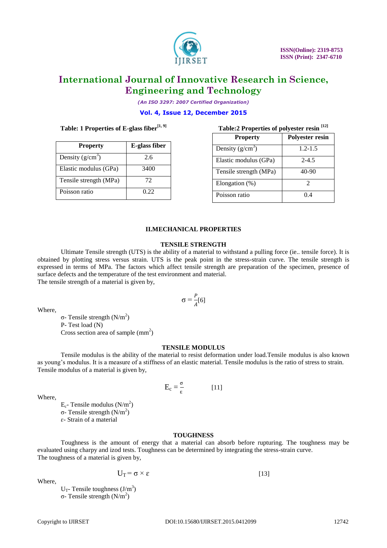

*(An ISO 3297: 2007 Certified Organization)* **Vol. 4, Issue 12, December 2015**

#### **Table: 1 Properties of E-glass fiber[1, 9]**

| <b>Property</b>        | E-glass fiber |  |  |
|------------------------|---------------|--|--|
| Density $(g/cm^3)$     | 2.6           |  |  |
| Elastic modulus (GPa)  | 3400          |  |  |
| Tensile strength (MPa) | 72            |  |  |
| Poisson ratio          | 0.22          |  |  |

| [12]<br>Table:2 Properties of polyester resin |                        |  |  |  |  |  |
|-----------------------------------------------|------------------------|--|--|--|--|--|
| <b>Property</b>                               | <b>Polyester resin</b> |  |  |  |  |  |
| Density $(g/cm^3)$                            | $1.2 - 1.5$            |  |  |  |  |  |
| Elastic modulus (GPa)                         | $2 - 4.5$              |  |  |  |  |  |
| Tensile strength (MPa)                        | 40-90                  |  |  |  |  |  |
| Elongation (%)                                | 2                      |  |  |  |  |  |
| Poisson ratio                                 | 04                     |  |  |  |  |  |

#### **II.MECHANICAL PROPERTIES**

#### **TENSILE STRENGTH**

Ultimate Tensile strength (UTS) is the ability of a material to withstand a pulling force (ie.. tensile force). It is obtained by plotting stress versus strain. UTS is the peak point in the stress-strain curve. The tensile strength is expressed in terms of MPa. The factors which affect tensile strength are preparation of the specimen, presence of surface defects and the temperature of the test environment and material. The tensile strength of a material is given by,

> $\sigma = \frac{P}{4}$  $\frac{1}{4}[6]$

Where,

σ- Tensile strength ( $N/m<sup>2</sup>$ ) P- Test load (N) Cross section area of sample  $(mm<sup>2</sup>)$ 

#### **TENSILE MODULUS**

Tensile modulus is the ability of the material to resist deformation under load.Tensile modulus is also known as young's modulus. It is a measure of a stiffness of an elastic material. Tensile modulus is the ratio of stress to strain. Tensile modulus of a material is given by,

$$
E_c = \frac{\sigma}{\epsilon} \tag{11}
$$

Where,

 $E_c$ - Tensile modulus (N/m<sup>2</sup>) σ- Tensile strength (N/m<sup>2</sup>) ɛ- Strain of a material

#### **TOUGHNESS**

Toughness is the amount of energy that a material can absorb before rupturing. The toughness may be evaluated using charpy and izod tests. Toughness can be determined by integrating the stress-strain curve. The toughness of a material is given by,

Where,

 $U_T = \sigma \times \varepsilon$  [13]

 $U_T$ - Tensile toughness (J/m<sup>3</sup>) σ- Tensile strength  $(N/m<sup>2</sup>)$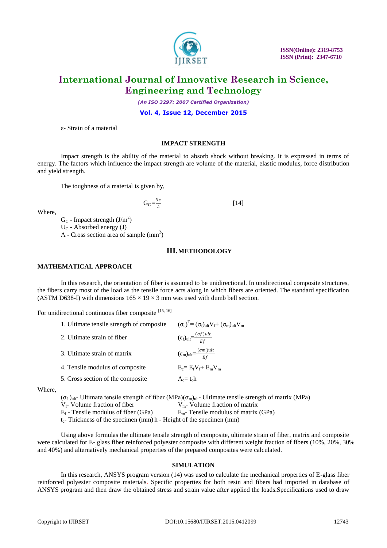

 **ISSN(Online): 2319-8753 ISSN (Print): 2347-6710**

### **International Journal of Innovative Research in Science, Engineering and Technology**

*(An ISO 3297: 2007 Certified Organization)*

**Vol. 4, Issue 12, December 2015**

ɛ- Strain of a material

#### **IMPACT STRENGTH**

Impact strength is the ability of the material to absorb shock without breaking. It is expressed in terms of energy. The factors which influence the impact strength are volume of the material, elastic modulus, force distribution and yield strength.

The toughness of a material is given by,

 $G_C = \frac{U_C}{4}$  $\overline{A}$  $[14]$ 

Where,

 $G_C$  - Impact strength  $(J/m^2)$  $U_C$  - Absorbed energy (J)  $A$  - Cross section area of sample  $(mm<sup>2</sup>)$ 

#### **III.METHODOLOGY**

#### **MATHEMATICAL APPROACH**

In this research, the orientation of fiber is assumed to be unidirectional. In unidirectional composite structures, the fibers carry most of the load as the tensile force acts along in which fibers are oriented. The standard specification (ASTM D638-I) with dimensions  $165 \times 19 \times 3$  mm was used with dumb bell section.

For unidirectional continuous fiber composite [15, 16]

| 1. Ultimate tensile strength of composite | $(\sigma_c)^T = (\sigma_f)_{\text{ult}} V_f + (\sigma_m)_{\text{ult}} V_m$ |
|-------------------------------------------|----------------------------------------------------------------------------|
| 2. Ultimate strain of fiber               | $(\varepsilon_f)_{ult} = \frac{(\sigma f)ult}{Ef}$                         |
| 3. Ultimate strain of matrix              | $(\varepsilon_{\rm m})_{\rm ult}=\frac{(\sigma m)\,ult}{E f}$              |
| 4. Tensile modulus of composite           | $E_c = E_f V_f + E_m V_m$                                                  |
| 5. Cross section of the composite         | $A_c = t_c h$                                                              |
|                                           |                                                                            |

Where,

(σ<sub>f</sub>)<sub>ult</sub>- Ultimate tensile strength of fiber (MPa)(σ<sub>m</sub>)<sub>ult</sub>- Ultimate tensile strength of matrix (MPa)  $V_f$ - Volume fraction of fiber  $V_m$ - Volume fraction of matrix  $E_f$  - Tensile modulus of fiber (GPa)  $E_m$ - Tensile modulus of matrix (GPa)  $t_c$ - Thickness of the specimen (mm) h - Height of the specimen (mm)

Using above formulas the ultimate tensile strength of composite, ultimate strain of fiber, matrix and composite were calculated for E- glass fiber reinforced polyester composite with different weight fraction of fibers (10%, 20%, 30% and 40%) and alternatively mechanical properties of the prepared composites were calculated.

#### **SIMULATION**

In this research, ANSYS program version (14) was used to calculate the mechanical properties of E-glass fiber reinforced polyester composite materials. Specific properties for both resin and fibers had imported in database of ANSYS program and then draw the obtained stress and strain value after applied the loads.Specifications used to draw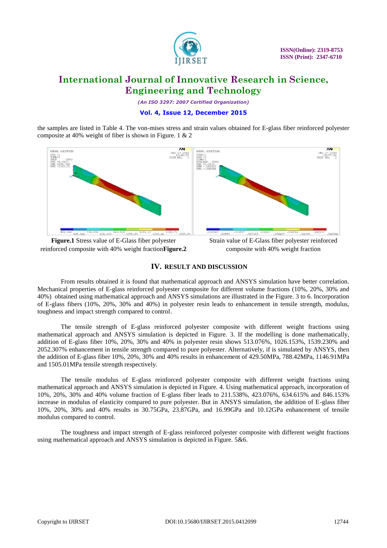

*(An ISO 3297: 2007 Certified Organization)*

#### **Vol. 4, Issue 12, December 2015**

the samples are listed in Table 4. The von-mises stress and strain values obtained for E-glass fiber reinforced polyester composite at 40% weight of fiber is shown in Figure. 1 & 2



reinforced composite with 40% weight fraction**Figure.2**

## composite with 40% weight fraction

#### **IV. RESULT AND DISCUSSION**

From results obtained it is found that mathematical approach and ANSYS simulation have better correlation. Mechanical properties of E-glass reinforced polyester composite for different volume fractions (10%, 20%, 30% and 40%) obtained using mathematical approach and ANSYS simulations are illustrated in the Figure. 3 to 6. Incorporation of E-glass fibers (10%, 20%, 30% and 40%) in polyester resin leads to enhancement in tensile strength, modulus, toughness and impact strength compared to control.

The tensile strength of E-glass reinforced polyester composite with different weight fractions using mathematical approach and ANSYS simulation is depicted in Figure. 3. If the modelling is done mathematically, addition of E-glass fiber 10%, 20%, 30% and 40% in polyester resin shows 513.076%, 1026.153%, 1539.230% and 2052.307% enhancement in tensile strength compared to pure polyester. Alternatively, if is simulated by ANSYS, then the addition of E-glass fiber 10%, 20%, 30% and 40% results in enhancement of 429.50MPa, 788.42MPa, 1146.91MPa and 1505.01MPa tensile strength respectively.

The tensile modulus of E-glass reinforced polyester composite with different weight fractions using mathematical approach and ANSYS simulation is depicted in Figure. 4. Using mathematical approach, incorporation of 10%, 20%, 30% and 40% volume fraction of E-glass fiber leads to 211.538%, 423.076%, 634.615% and 846.153% increase in modulus of elasticity compared to pure polyester. But in ANSYS simulation, the addition of E-glass fiber 10%, 20%, 30% and 40% results in 30.75GPa, 23.87GPa, and 16.99GPa and 10.12GPa enhancement of tensile modulus compared to control.

The toughness and impact strength of E-glass reinforced polyester composite with different weight fractions using mathematical approach and ANSYS simulation is depicted in Figure. 5&6.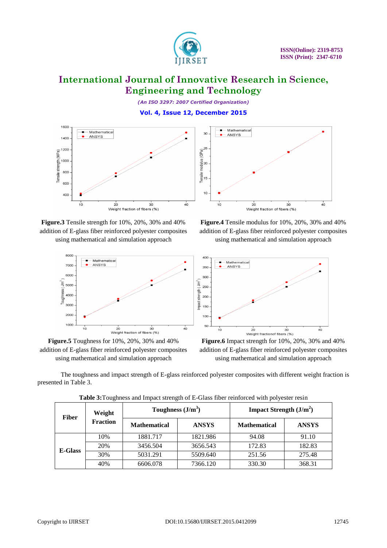

*(An ISO 3297: 2007 Certified Organization)* **Vol. 4, Issue 12, December 2015**



**Figure.3** Tensile strength for 10%, 20%, 30% and 40% addition of E-glass fiber reinforced polyester composites using mathematical and simulation approach



**Figure.5** Toughness for 10%, 20%, 30% and 40% addition of E-glass fiber reinforced polyester composites using mathematical and simulation approach



**Figure.4** Tensile modulus for 10%, 20%, 30% and 40% addition of E-glass fiber reinforced polyester composites using mathematical and simulation approach



**Figure.6** Impact strength for 10%, 20%, 30% and 40% addition of E-glass fiber reinforced polyester composites using mathematical and simulation approach

The toughness and impact strength of E-glass reinforced polyester composites with different weight fraction is presented in Table 3.

| <b>Fiber</b>   | Weight<br><b>Fraction</b> | Toughness $(J/m3)$  |              | Impact Strength $(J/m2)$ |              |
|----------------|---------------------------|---------------------|--------------|--------------------------|--------------|
|                |                           | <b>Mathematical</b> | <b>ANSYS</b> | <b>Mathematical</b>      | <b>ANSYS</b> |
| <b>E-Glass</b> | 10%                       | 1881.717            | 1821.986     | 94.08                    | 91.10        |
|                | 20%                       | 3456.504            | 3656.543     | 172.83                   | 182.83       |
|                | 30%                       | 5031.291            | 5509.640     | 251.56                   | 275.48       |
|                | 40%                       | 6606.078            | 7366.120     | 330.30                   | 368.31       |

**Table 3:**Toughness and Impact strength of E-Glass fiber reinforced with polyester resin